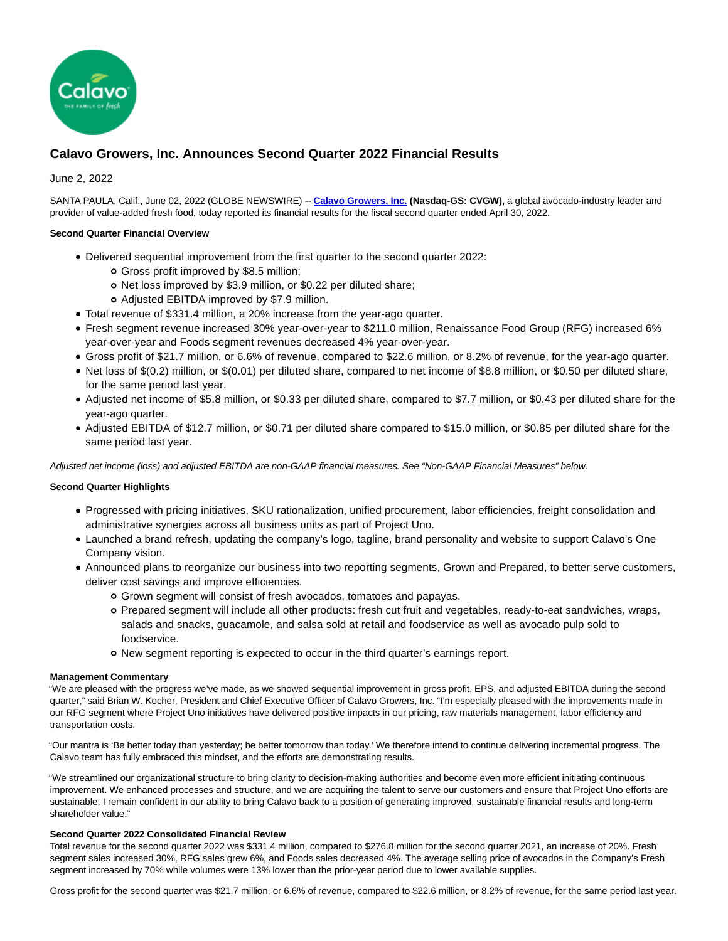

# **Calavo Growers, Inc. Announces Second Quarter 2022 Financial Results**

June 2, 2022

SANTA PAULA, Calif., June 02, 2022 (GLOBE NEWSWIRE) -- **[Calavo Growers, Inc. \(](https://www.globenewswire.com/Tracker?data=J43BsTHWCrTUW4nkA9B5fbezvTGpDj0rO-UdxEZe27sNhrIExaHN5NhxM1xC_-WXeGgiMcMNrhHDs5bbYTJ1PA==)Nasdaq-GS: CVGW)**, a global avocado-industry leader and provider of value-added fresh food, today reported its financial results for the fiscal second quarter ended April 30, 2022.

# **Second Quarter Financial Overview**

- Delivered sequential improvement from the first quarter to the second quarter 2022:
	- Gross profit improved by \$8.5 million;
	- Net loss improved by \$3.9 million, or \$0.22 per diluted share;
	- Adjusted EBITDA improved by \$7.9 million.
- Total revenue of \$331.4 million, a 20% increase from the year-ago quarter.
- Fresh segment revenue increased 30% year-over-year to \$211.0 million, Renaissance Food Group (RFG) increased 6% year-over-year and Foods segment revenues decreased 4% year-over-year.
- Gross profit of \$21.7 million, or 6.6% of revenue, compared to \$22.6 million, or 8.2% of revenue, for the year-ago quarter.
- Net loss of \$(0.2) million, or \$(0.01) per diluted share, compared to net income of \$8.8 million, or \$0.50 per diluted share, for the same period last year.
- Adjusted net income of \$5.8 million, or \$0.33 per diluted share, compared to \$7.7 million, or \$0.43 per diluted share for the year-ago quarter.
- Adjusted EBITDA of \$12.7 million, or \$0.71 per diluted share compared to \$15.0 million, or \$0.85 per diluted share for the same period last year.

Adjusted net income (loss) and adjusted EBITDA are non-GAAP financial measures. See "Non-GAAP Financial Measures" below.

# **Second Quarter Highlights**

- Progressed with pricing initiatives, SKU rationalization, unified procurement, labor efficiencies, freight consolidation and administrative synergies across all business units as part of Project Uno.
- Launched a brand refresh, updating the company's logo, tagline, brand personality and website to support Calavo's One Company vision.
- Announced plans to reorganize our business into two reporting segments, Grown and Prepared, to better serve customers, deliver cost savings and improve efficiencies.
	- Grown segment will consist of fresh avocados, tomatoes and papayas.
	- Prepared segment will include all other products: fresh cut fruit and vegetables, ready-to-eat sandwiches, wraps, salads and snacks, guacamole, and salsa sold at retail and foodservice as well as avocado pulp sold to foodservice.
	- o New segment reporting is expected to occur in the third quarter's earnings report.

# **Management Commentary**

"We are pleased with the progress we've made, as we showed sequential improvement in gross profit, EPS, and adjusted EBITDA during the second quarter," said Brian W. Kocher, President and Chief Executive Officer of Calavo Growers, Inc. "I'm especially pleased with the improvements made in our RFG segment where Project Uno initiatives have delivered positive impacts in our pricing, raw materials management, labor efficiency and transportation costs.

"Our mantra is 'Be better today than yesterday; be better tomorrow than today.' We therefore intend to continue delivering incremental progress. The Calavo team has fully embraced this mindset, and the efforts are demonstrating results.

"We streamlined our organizational structure to bring clarity to decision-making authorities and become even more efficient initiating continuous improvement. We enhanced processes and structure, and we are acquiring the talent to serve our customers and ensure that Project Uno efforts are sustainable. I remain confident in our ability to bring Calavo back to a position of generating improved, sustainable financial results and long-term shareholder value."

# **Second Quarter 2022 Consolidated Financial Review**

Total revenue for the second quarter 2022 was \$331.4 million, compared to \$276.8 million for the second quarter 2021, an increase of 20%. Fresh segment sales increased 30%, RFG sales grew 6%, and Foods sales decreased 4%. The average selling price of avocados in the Company's Fresh segment increased by 70% while volumes were 13% lower than the prior-year period due to lower available supplies.

Gross profit for the second quarter was \$21.7 million, or 6.6% of revenue, compared to \$22.6 million, or 8.2% of revenue, for the same period last year.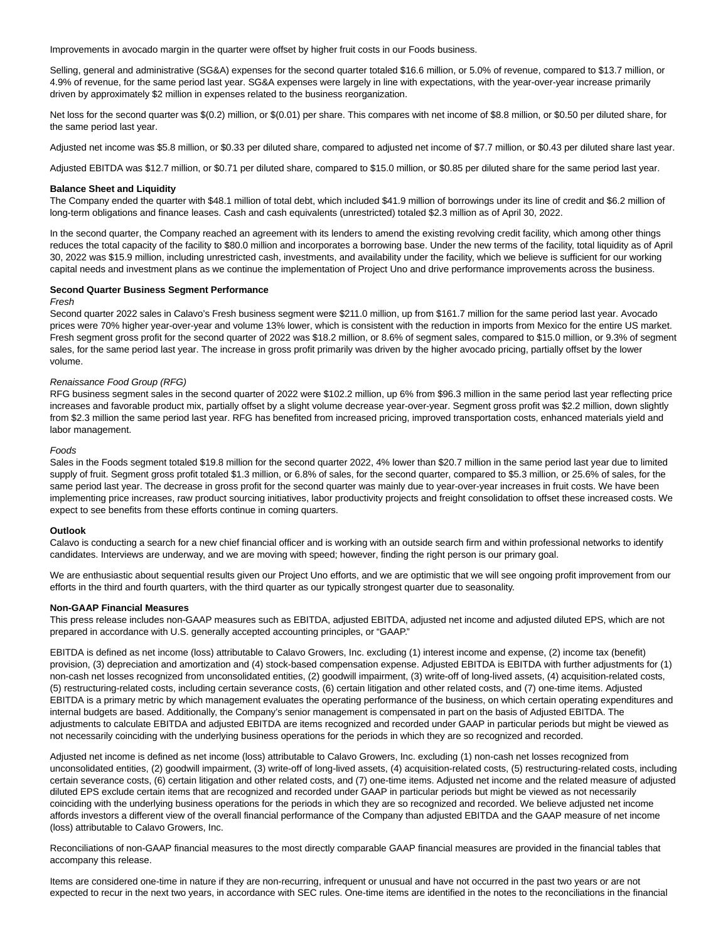Improvements in avocado margin in the quarter were offset by higher fruit costs in our Foods business.

Selling, general and administrative (SG&A) expenses for the second quarter totaled \$16.6 million, or 5.0% of revenue, compared to \$13.7 million, or 4.9% of revenue, for the same period last year. SG&A expenses were largely in line with expectations, with the year-over-year increase primarily driven by approximately \$2 million in expenses related to the business reorganization.

Net loss for the second quarter was \$(0.2) million, or \$(0.01) per share. This compares with net income of \$8.8 million, or \$0.50 per diluted share, for the same period last year.

Adjusted net income was \$5.8 million, or \$0.33 per diluted share, compared to adjusted net income of \$7.7 million, or \$0.43 per diluted share last year.

Adjusted EBITDA was \$12.7 million, or \$0.71 per diluted share, compared to \$15.0 million, or \$0.85 per diluted share for the same period last year.

#### **Balance Sheet and Liquidity**

The Company ended the quarter with \$48.1 million of total debt, which included \$41.9 million of borrowings under its line of credit and \$6.2 million of long-term obligations and finance leases. Cash and cash equivalents (unrestricted) totaled \$2.3 million as of April 30, 2022.

In the second quarter, the Company reached an agreement with its lenders to amend the existing revolving credit facility, which among other things reduces the total capacity of the facility to \$80.0 million and incorporates a borrowing base. Under the new terms of the facility, total liquidity as of April 30, 2022 was \$15.9 million, including unrestricted cash, investments, and availability under the facility, which we believe is sufficient for our working capital needs and investment plans as we continue the implementation of Project Uno and drive performance improvements across the business.

# **Second Quarter Business Segment Performance**

#### Fresh

Second quarter 2022 sales in Calavo's Fresh business segment were \$211.0 million, up from \$161.7 million for the same period last year. Avocado prices were 70% higher year-over-year and volume 13% lower, which is consistent with the reduction in imports from Mexico for the entire US market. Fresh segment gross profit for the second quarter of 2022 was \$18.2 million, or 8.6% of segment sales, compared to \$15.0 million, or 9.3% of segment sales, for the same period last year. The increase in gross profit primarily was driven by the higher avocado pricing, partially offset by the lower volume.

#### Renaissance Food Group (RFG)

RFG business segment sales in the second quarter of 2022 were \$102.2 million, up 6% from \$96.3 million in the same period last year reflecting price increases and favorable product mix, partially offset by a slight volume decrease year-over-year. Segment gross profit was \$2.2 million, down slightly from \$2.3 million the same period last year. RFG has benefited from increased pricing, improved transportation costs, enhanced materials yield and labor management.

#### Foods

Sales in the Foods segment totaled \$19.8 million for the second quarter 2022, 4% lower than \$20.7 million in the same period last year due to limited supply of fruit. Segment gross profit totaled \$1.3 million, or 6.8% of sales, for the second quarter, compared to \$5.3 million, or 25.6% of sales, for the same period last year. The decrease in gross profit for the second quarter was mainly due to year-over-year increases in fruit costs. We have been implementing price increases, raw product sourcing initiatives, labor productivity projects and freight consolidation to offset these increased costs. We expect to see benefits from these efforts continue in coming quarters.

#### **Outlook**

Calavo is conducting a search for a new chief financial officer and is working with an outside search firm and within professional networks to identify candidates. Interviews are underway, and we are moving with speed; however, finding the right person is our primary goal.

We are enthusiastic about sequential results given our Project Uno efforts, and we are optimistic that we will see ongoing profit improvement from our efforts in the third and fourth quarters, with the third quarter as our typically strongest quarter due to seasonality.

#### **Non-GAAP Financial Measures**

This press release includes non-GAAP measures such as EBITDA, adjusted EBITDA, adjusted net income and adjusted diluted EPS, which are not prepared in accordance with U.S. generally accepted accounting principles, or "GAAP."

EBITDA is defined as net income (loss) attributable to Calavo Growers, Inc. excluding (1) interest income and expense, (2) income tax (benefit) provision, (3) depreciation and amortization and (4) stock-based compensation expense. Adjusted EBITDA is EBITDA with further adjustments for (1) non-cash net losses recognized from unconsolidated entities, (2) goodwill impairment, (3) write-off of long-lived assets, (4) acquisition-related costs, (5) restructuring-related costs, including certain severance costs, (6) certain litigation and other related costs, and (7) one-time items. Adjusted EBITDA is a primary metric by which management evaluates the operating performance of the business, on which certain operating expenditures and internal budgets are based. Additionally, the Company's senior management is compensated in part on the basis of Adjusted EBITDA. The adjustments to calculate EBITDA and adjusted EBITDA are items recognized and recorded under GAAP in particular periods but might be viewed as not necessarily coinciding with the underlying business operations for the periods in which they are so recognized and recorded.

Adjusted net income is defined as net income (loss) attributable to Calavo Growers, Inc. excluding (1) non-cash net losses recognized from unconsolidated entities, (2) goodwill impairment, (3) write-off of long-lived assets, (4) acquisition-related costs, (5) restructuring-related costs, including certain severance costs, (6) certain litigation and other related costs, and (7) one-time items. Adjusted net income and the related measure of adjusted diluted EPS exclude certain items that are recognized and recorded under GAAP in particular periods but might be viewed as not necessarily coinciding with the underlying business operations for the periods in which they are so recognized and recorded. We believe adjusted net income affords investors a different view of the overall financial performance of the Company than adjusted EBITDA and the GAAP measure of net income (loss) attributable to Calavo Growers, Inc.

Reconciliations of non-GAAP financial measures to the most directly comparable GAAP financial measures are provided in the financial tables that accompany this release.

Items are considered one-time in nature if they are non-recurring, infrequent or unusual and have not occurred in the past two years or are not expected to recur in the next two years, in accordance with SEC rules. One-time items are identified in the notes to the reconciliations in the financial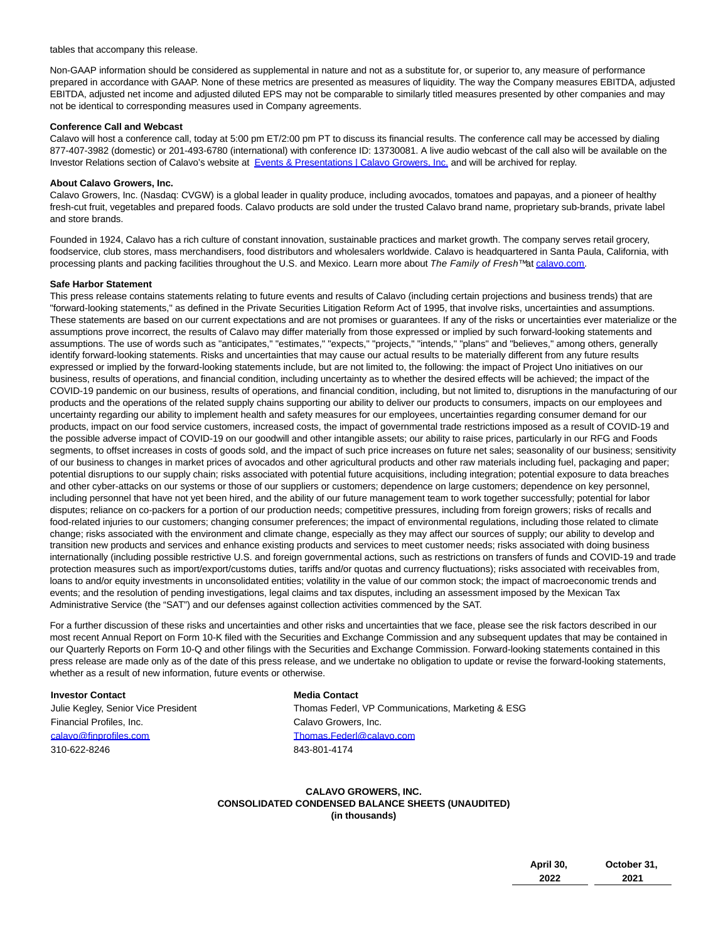tables that accompany this release.

Non-GAAP information should be considered as supplemental in nature and not as a substitute for, or superior to, any measure of performance prepared in accordance with GAAP. None of these metrics are presented as measures of liquidity. The way the Company measures EBITDA, adjusted EBITDA, adjusted net income and adjusted diluted EPS may not be comparable to similarly titled measures presented by other companies and may not be identical to corresponding measures used in Company agreements.

#### **Conference Call and Webcast**

Calavo will host a conference call, today at 5:00 pm ET/2:00 pm PT to discuss its financial results. The conference call may be accessed by dialing 877-407-3982 (domestic) or 201-493-6780 (international) with conference ID: 13730081. A live audio webcast of the call also will be available on the Investor Relations section of Calavo's website at [Events & Presentations | Calavo Growers, Inc. a](https://www.globenewswire.com/Tracker?data=_nxC_HpZQ4G3UJSgYyhiODBeey_ghzUioOihQKn58VKjWJsKH-143Q7PV9u4eZZ43oixXFimeEFBL3IEj_izGVSlUBUvbb-KAFDu_Bvh4jcpKaSPfbXTKIipYJa-xpjocBQ9kG5bmogrimIhQs_WdaAcFVi4KJRCzYnmmMsOceNRDRhiVMEMoT2-ecNzw8tZ)nd will be archived for replay.

## **About Calavo Growers, Inc.**

Calavo Growers, Inc. (Nasdaq: CVGW) is a global leader in quality produce, including avocados, tomatoes and papayas, and a pioneer of healthy fresh-cut fruit, vegetables and prepared foods. Calavo products are sold under the trusted Calavo brand name, proprietary sub-brands, private label and store brands.

Founded in 1924, Calavo has a rich culture of constant innovation, sustainable practices and market growth. The company serves retail grocery, foodservice, club stores, mass merchandisers, food distributors and wholesalers worldwide. Calavo is headquartered in Santa Paula, California, with processing plants and packing facilities throughout the U.S. and Mexico. Learn more about The Family of Fresh™ a[t calavo.com.](https://www.globenewswire.com/Tracker?data=TCi3HaBEQiOQR06UEW1j0KIhbW-Rl-e_P3qi9nxVXG2h_TWEjXaO4T4AFM4kNZ4Lu89tT14c_pVaIYHL6A8G7g==)

### **Safe Harbor Statement**

This press release contains statements relating to future events and results of Calavo (including certain projections and business trends) that are "forward-looking statements," as defined in the Private Securities Litigation Reform Act of 1995, that involve risks, uncertainties and assumptions. These statements are based on our current expectations and are not promises or guarantees. If any of the risks or uncertainties ever materialize or the assumptions prove incorrect, the results of Calavo may differ materially from those expressed or implied by such forward-looking statements and assumptions. The use of words such as "anticipates," "estimates," "expects," "projects," "intends," "plans" and "believes," among others, generally identify forward-looking statements. Risks and uncertainties that may cause our actual results to be materially different from any future results expressed or implied by the forward-looking statements include, but are not limited to, the following: the impact of Project Uno initiatives on our business, results of operations, and financial condition, including uncertainty as to whether the desired effects will be achieved; the impact of the COVID-19 pandemic on our business, results of operations, and financial condition, including, but not limited to, disruptions in the manufacturing of our products and the operations of the related supply chains supporting our ability to deliver our products to consumers, impacts on our employees and uncertainty regarding our ability to implement health and safety measures for our employees, uncertainties regarding consumer demand for our products, impact on our food service customers, increased costs, the impact of governmental trade restrictions imposed as a result of COVID-19 and the possible adverse impact of COVID-19 on our goodwill and other intangible assets; our ability to raise prices, particularly in our RFG and Foods segments, to offset increases in costs of goods sold, and the impact of such price increases on future net sales; seasonality of our business; sensitivity of our business to changes in market prices of avocados and other agricultural products and other raw materials including fuel, packaging and paper; potential disruptions to our supply chain; risks associated with potential future acquisitions, including integration; potential exposure to data breaches and other cyber-attacks on our systems or those of our suppliers or customers; dependence on large customers; dependence on key personnel, including personnel that have not yet been hired, and the ability of our future management team to work together successfully; potential for labor disputes; reliance on co-packers for a portion of our production needs; competitive pressures, including from foreign growers; risks of recalls and food-related injuries to our customers; changing consumer preferences; the impact of environmental regulations, including those related to climate change; risks associated with the environment and climate change, especially as they may affect our sources of supply; our ability to develop and transition new products and services and enhance existing products and services to meet customer needs; risks associated with doing business internationally (including possible restrictive U.S. and foreign governmental actions, such as restrictions on transfers of funds and COVID-19 and trade protection measures such as import/export/customs duties, tariffs and/or quotas and currency fluctuations); risks associated with receivables from, loans to and/or equity investments in unconsolidated entities; volatility in the value of our common stock; the impact of macroeconomic trends and events; and the resolution of pending investigations, legal claims and tax disputes, including an assessment imposed by the Mexican Tax Administrative Service (the "SAT") and our defenses against collection activities commenced by the SAT.

For a further discussion of these risks and uncertainties and other risks and uncertainties that we face, please see the risk factors described in our most recent Annual Report on Form 10-K filed with the Securities and Exchange Commission and any subsequent updates that may be contained in our Quarterly Reports on Form 10-Q and other filings with the Securities and Exchange Commission. Forward-looking statements contained in this press release are made only as of the date of this press release, and we undertake no obligation to update or revise the forward-looking statements, whether as a result of new information, future events or otherwise.

**Investor Contact Media Contact** Financial Profiles, Inc. Calavo Growers, Inc. [calavo@finprofiles.com](mailto:calavo@finprofiles.com) [Thomas.Federl@calavo.com](mailto:Thomas.Federl@calavo.com) 310-622-8246 843-801-4174

Julie Kegley, Senior Vice President Thomas Federl, VP Communications, Marketing & ESG

# **CALAVO GROWERS, INC. CONSOLIDATED CONDENSED BALANCE SHEETS (UNAUDITED) (in thousands)**

| April 30, | October 31, |
|-----------|-------------|
| 2022      | 2021        |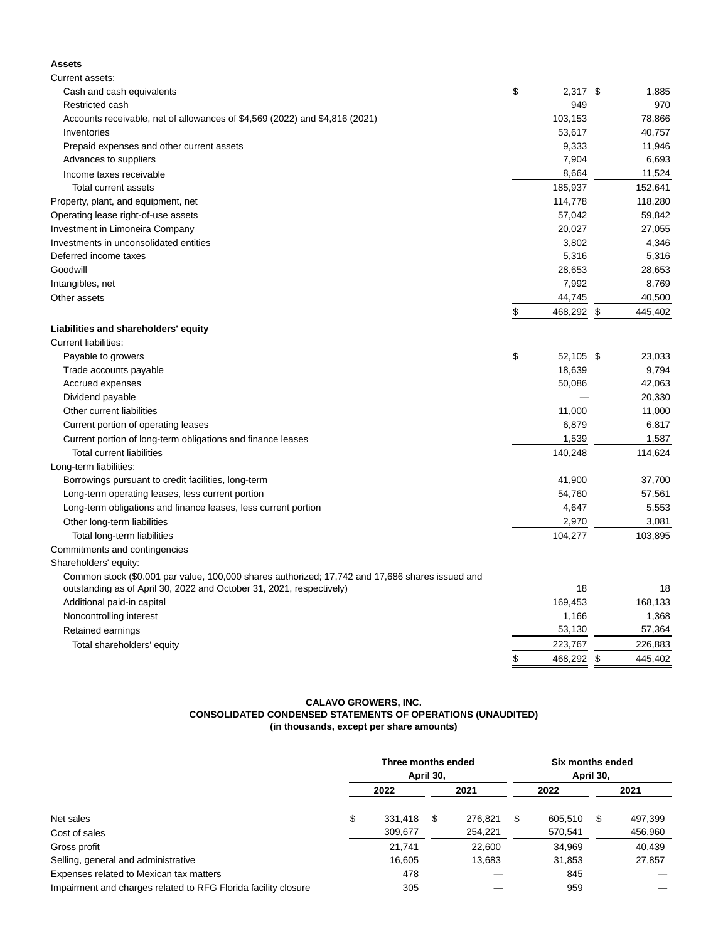| <b>Assets</b>                                                                                   |                  |               |
|-------------------------------------------------------------------------------------------------|------------------|---------------|
| Current assets:                                                                                 |                  |               |
| Cash and cash equivalents                                                                       | \$<br>$2,317$ \$ | 1,885         |
| Restricted cash                                                                                 | 949              | 970           |
| Accounts receivable, net of allowances of \$4,569 (2022) and \$4,816 (2021)                     | 103,153          | 78,866        |
| Inventories                                                                                     | 53,617           | 40,757        |
| Prepaid expenses and other current assets                                                       | 9,333            | 11,946        |
| Advances to suppliers                                                                           | 7,904            | 6,693         |
| Income taxes receivable                                                                         | 8,664            | 11,524        |
| Total current assets                                                                            | 185,937          | 152,641       |
| Property, plant, and equipment, net                                                             | 114,778          | 118,280       |
| Operating lease right-of-use assets                                                             | 57,042           | 59,842        |
| Investment in Limoneira Company                                                                 | 20,027           | 27,055        |
| Investments in unconsolidated entities                                                          | 3,802            | 4,346         |
| Deferred income taxes                                                                           | 5,316            | 5,316         |
| Goodwill                                                                                        | 28,653           | 28,653        |
| Intangibles, net                                                                                | 7,992            | 8,769         |
| Other assets                                                                                    | 44,745           | 40,500        |
|                                                                                                 | \$<br>468,292    | \$<br>445,402 |
| Liabilities and shareholders' equity                                                            |                  |               |
| <b>Current liabilities:</b>                                                                     |                  |               |
| Payable to growers                                                                              | \$<br>52,105 \$  | 23,033        |
| Trade accounts payable                                                                          | 18,639           | 9,794         |
| Accrued expenses                                                                                | 50,086           | 42,063        |
| Dividend payable                                                                                |                  | 20,330        |
| Other current liabilities                                                                       | 11,000           | 11,000        |
| Current portion of operating leases                                                             | 6,879            | 6,817         |
| Current portion of long-term obligations and finance leases                                     | 1,539            | 1,587         |
| Total current liabilities                                                                       | 140,248          | 114,624       |
| Long-term liabilities:                                                                          |                  |               |
| Borrowings pursuant to credit facilities, long-term                                             | 41,900           | 37,700        |
| Long-term operating leases, less current portion                                                | 54,760           | 57,561        |
| Long-term obligations and finance leases, less current portion                                  | 4,647            | 5,553         |
| Other long-term liabilities                                                                     | 2,970            | 3,081         |
| Total long-term liabilities                                                                     | 104,277          | 103,895       |
| Commitments and contingencies                                                                   |                  |               |
| Shareholders' equity:                                                                           |                  |               |
| Common stock (\$0.001 par value, 100,000 shares authorized; 17,742 and 17,686 shares issued and |                  |               |
| outstanding as of April 30, 2022 and October 31, 2021, respectively)                            | 18               | 18            |
| Additional paid-in capital                                                                      | 169,453          | 168,133       |
| Noncontrolling interest                                                                         | 1,166            | 1,368         |
| Retained earnings                                                                               | 53,130           | 57,364        |
| Total shareholders' equity                                                                      | 223,767          | 226,883       |
|                                                                                                 | \$<br>468,292 \$ | 445,402       |

#### **CALAVO GROWERS, INC. CONSOLIDATED CONDENSED STATEMENTS OF OPERATIONS (UNAUDITED) (in thousands, except per share amounts)**

|                                                                |    | Three months ended | April 30, |         |   |         | Six months ended<br>April 30, |         |  |
|----------------------------------------------------------------|----|--------------------|-----------|---------|---|---------|-------------------------------|---------|--|
|                                                                |    | 2022               |           | 2021    |   | 2022    |                               | 2021    |  |
| Net sales                                                      | \$ | 331.418            | \$        | 276.821 | S | 605.510 | S                             | 497,399 |  |
| Cost of sales                                                  |    | 309,677            |           | 254,221 |   | 570,541 |                               | 456,960 |  |
| Gross profit                                                   |    | 21,741             |           | 22,600  |   | 34,969  |                               | 40,439  |  |
| Selling, general and administrative                            |    | 16.605             |           | 13.683  |   | 31,853  |                               | 27,857  |  |
| Expenses related to Mexican tax matters                        |    | 478                |           |         |   | 845     |                               |         |  |
| Impairment and charges related to RFG Florida facility closure |    | 305                |           |         |   | 959     |                               |         |  |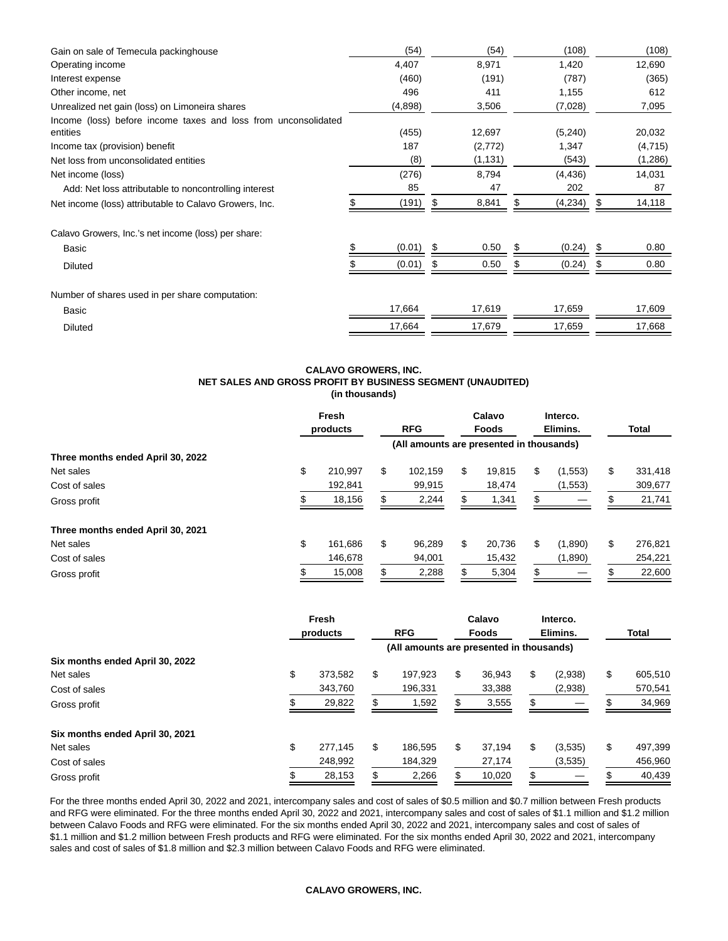| Gain on sale of Temecula packinghouse                                      | (54)    |   | (54)     |   | (108)    |    | (108)    |
|----------------------------------------------------------------------------|---------|---|----------|---|----------|----|----------|
| Operating income                                                           | 4,407   |   | 8,971    |   | 1,420    |    | 12,690   |
| Interest expense                                                           | (460)   |   | (191)    |   | (787)    |    | (365)    |
| Other income, net                                                          | 496     |   | 411      |   | 1,155    |    | 612      |
| Unrealized net gain (loss) on Limoneira shares                             | (4,898) |   | 3,506    |   | (7,028)  |    | 7,095    |
| Income (loss) before income taxes and loss from unconsolidated<br>entities | (455)   |   | 12,697   |   | (5,240)  |    | 20,032   |
| Income tax (provision) benefit                                             | 187     |   | (2,772)  |   | 1,347    |    | (4, 715) |
| Net loss from unconsolidated entities                                      | (8)     |   | (1, 131) |   | (543)    |    | (1,286)  |
| Net income (loss)                                                          | (276)   |   | 8,794    |   | (4, 436) |    | 14,031   |
| Add: Net loss attributable to noncontrolling interest                      | 85      |   | 47       |   | 202      |    | 87       |
| Net income (loss) attributable to Calavo Growers, Inc.                     | (191)   | S | 8,841    |   | (4,234)  | \$ | 14,118   |
| Calavo Growers, Inc.'s net income (loss) per share:                        |         |   |          |   |          |    |          |
| Basic                                                                      | (0.01)  | S | 0.50     | S | (0.24)   | S  | 0.80     |
| <b>Diluted</b>                                                             | (0.01)  | S | 0.50     |   | (0.24)   | \$ | 0.80     |
| Number of shares used in per share computation:                            |         |   |          |   |          |    |          |
| Basic                                                                      | 17,664  |   | 17,619   |   | 17,659   |    | 17,609   |
| <b>Diluted</b>                                                             | 17,664  |   | 17,679   |   | 17,659   |    | 17,668   |

# **CALAVO GROWERS, INC. NET SALES AND GROSS PROFIT BY BUSINESS SEGMENT (UNAUDITED) (in thousands)**

|                                   | Fresh         |            |                                          |              | Calavo | Interco.       |    |         |  |
|-----------------------------------|---------------|------------|------------------------------------------|--------------|--------|----------------|----|---------|--|
|                                   | products      | <b>RFG</b> |                                          | <b>Foods</b> |        | Elimins.       |    | Total   |  |
|                                   |               |            | (All amounts are presented in thousands) |              |        |                |    |         |  |
| Three months ended April 30, 2022 |               |            |                                          |              |        |                |    |         |  |
| Net sales                         | \$<br>210.997 | \$         | 102.159                                  | \$           | 19,815 | \$<br>(1, 553) | \$ | 331,418 |  |
| Cost of sales                     | 192,841       |            | 99,915                                   |              | 18,474 | (1,553)        |    | 309,677 |  |
| Gross profit                      | 18,156        |            | 2,244                                    |              | 1,341  |                |    | 21,741  |  |
| Three months ended April 30, 2021 |               |            |                                          |              |        |                |    |         |  |
| Net sales                         | \$<br>161,686 | \$         | 96,289                                   | \$           | 20.736 | \$<br>(1,890)  | S  | 276,821 |  |
| Cost of sales                     | 146,678       |            | 94,001                                   |              | 15,432 | (1,890)        |    | 254,221 |  |
| Gross profit                      | 15,008        |            | 2,288                                    |              | 5,304  |                |    | 22,600  |  |

|                                 |    | Fresh                                    |    |            |   | Calavo<br>Interco. |    |          |    |         |  |  |  |  |
|---------------------------------|----|------------------------------------------|----|------------|---|--------------------|----|----------|----|---------|--|--|--|--|
|                                 |    | products                                 |    | <b>RFG</b> |   | <b>Foods</b>       |    | Elimins. |    | Total   |  |  |  |  |
|                                 |    | (All amounts are presented in thousands) |    |            |   |                    |    |          |    |         |  |  |  |  |
| Six months ended April 30, 2022 |    |                                          |    |            |   |                    |    |          |    |         |  |  |  |  |
| Net sales                       | \$ | 373.582                                  | \$ | 197.923    | S | 36.943             | \$ | (2,938)  | \$ | 605,510 |  |  |  |  |
| Cost of sales                   |    | 343,760                                  |    | 196.331    |   | 33,388             |    | (2,938)  |    | 570,541 |  |  |  |  |
| Gross profit                    |    | 29,822                                   |    | 1,592      |   | 3,555              | \$ |          |    | 34,969  |  |  |  |  |
| Six months ended April 30, 2021 |    |                                          |    |            |   |                    |    |          |    |         |  |  |  |  |
| Net sales                       | \$ | 277.145                                  | \$ | 186.595    | S | 37.194             | \$ | (3,535)  | \$ | 497,399 |  |  |  |  |
| Cost of sales                   |    | 248,992                                  |    | 184,329    |   | 27,174             |    | (3,535)  |    | 456,960 |  |  |  |  |
| Gross profit                    |    | 28,153                                   |    | 2,266      |   | 10,020             | S  |          |    | 40,439  |  |  |  |  |

For the three months ended April 30, 2022 and 2021, intercompany sales and cost of sales of \$0.5 million and \$0.7 million between Fresh products and RFG were eliminated. For the three months ended April 30, 2022 and 2021, intercompany sales and cost of sales of \$1.1 million and \$1.2 million between Calavo Foods and RFG were eliminated. For the six months ended April 30, 2022 and 2021, intercompany sales and cost of sales of \$1.1 million and \$1.2 million between Fresh products and RFG were eliminated. For the six months ended April 30, 2022 and 2021, intercompany sales and cost of sales of \$1.8 million and \$2.3 million between Calavo Foods and RFG were eliminated.

# **CALAVO GROWERS, INC.**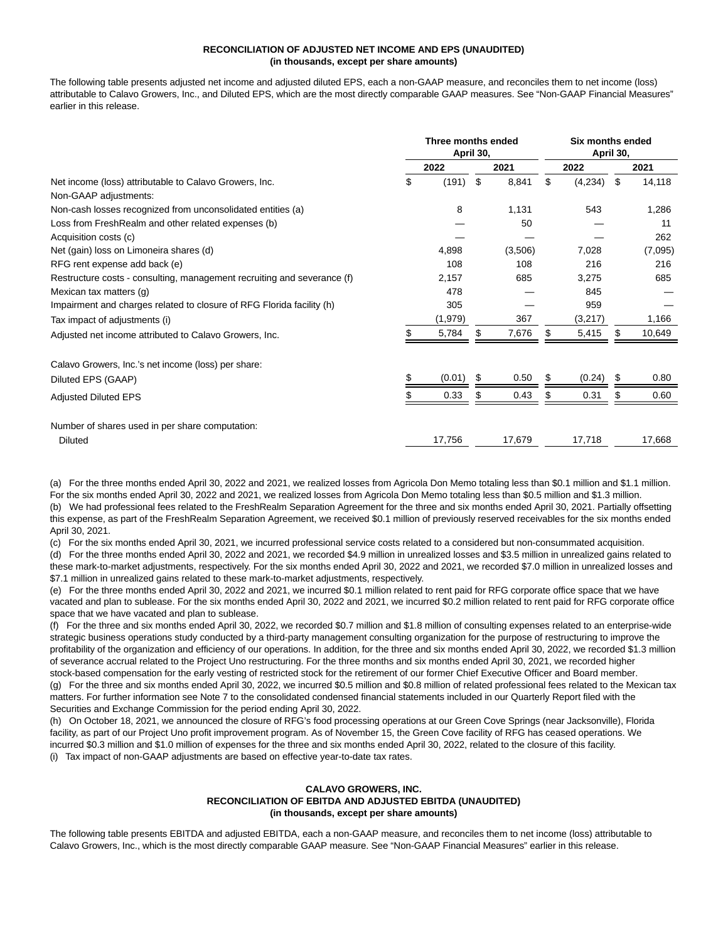# **RECONCILIATION OF ADJUSTED NET INCOME AND EPS (UNAUDITED) (in thousands, except per share amounts)**

The following table presents adjusted net income and adjusted diluted EPS, each a non-GAAP measure, and reconciles them to net income (loss) attributable to Calavo Growers, Inc., and Diluted EPS, which are the most directly comparable GAAP measures. See "Non-GAAP Financial Measures" earlier in this release.

|                                                                         | Three months ended<br>April 30, |         |    |         |     | Six months ended<br>April 30, |      |         |  |  |
|-------------------------------------------------------------------------|---------------------------------|---------|----|---------|-----|-------------------------------|------|---------|--|--|
|                                                                         |                                 | 2022    |    | 2021    |     | 2022                          |      | 2021    |  |  |
| Net income (loss) attributable to Calavo Growers, Inc.                  | \$                              | (191)   | \$ | 8,841   | \$  | (4,234)                       | - \$ | 14,118  |  |  |
| Non-GAAP adjustments:                                                   |                                 |         |    |         |     |                               |      |         |  |  |
| Non-cash losses recognized from unconsolidated entities (a)             |                                 | 8       |    | 1,131   |     | 543                           |      | 1,286   |  |  |
| Loss from Fresh Realm and other related expenses (b)                    |                                 |         |    | 50      |     |                               |      | 11      |  |  |
| Acquisition costs (c)                                                   |                                 |         |    |         |     |                               |      | 262     |  |  |
| Net (gain) loss on Limoneira shares (d)                                 |                                 | 4,898   |    | (3,506) |     | 7,028                         |      | (7,095) |  |  |
| RFG rent expense add back (e)                                           |                                 | 108     |    | 108     |     | 216                           |      | 216     |  |  |
| Restructure costs - consulting, management recruiting and severance (f) |                                 | 2,157   |    | 685     |     | 3,275                         |      | 685     |  |  |
| Mexican tax matters (g)                                                 |                                 | 478     |    |         |     | 845                           |      |         |  |  |
| Impairment and charges related to closure of RFG Florida facility (h)   |                                 | 305     |    |         |     | 959                           |      |         |  |  |
| Tax impact of adjustments (i)                                           |                                 | (1,979) |    | 367     |     | (3,217)                       |      | 1,166   |  |  |
| Adjusted net income attributed to Calavo Growers, Inc.                  |                                 | 5,784   |    | 7,676   |     | 5,415                         |      | 10,649  |  |  |
| Calavo Growers, Inc.'s net income (loss) per share:                     |                                 |         |    |         |     |                               |      |         |  |  |
| Diluted EPS (GAAP)                                                      |                                 | (0.01)  | \$ | 0.50    | -\$ | (0.24)                        | \$   | 0.80    |  |  |
| <b>Adjusted Diluted EPS</b>                                             |                                 | 0.33    |    | 0.43    | S   | 0.31                          | S    | 0.60    |  |  |
| Number of shares used in per share computation:                         |                                 |         |    |         |     |                               |      |         |  |  |
| <b>Diluted</b>                                                          |                                 | 17,756  |    | 17,679  |     | 17,718                        |      | 17,668  |  |  |

(a) For the three months ended April 30, 2022 and 2021, we realized losses from Agricola Don Memo totaling less than \$0.1 million and \$1.1 million. For the six months ended April 30, 2022 and 2021, we realized losses from Agricola Don Memo totaling less than \$0.5 million and \$1.3 million. (b) We had professional fees related to the FreshRealm Separation Agreement for the three and six months ended April 30, 2021. Partially offsetting this expense, as part of the FreshRealm Separation Agreement, we received \$0.1 million of previously reserved receivables for the six months ended April 30, 2021.

(c) For the six months ended April 30, 2021, we incurred professional service costs related to a considered but non-consummated acquisition. (d) For the three months ended April 30, 2022 and 2021, we recorded \$4.9 million in unrealized losses and \$3.5 million in unrealized gains related to these mark-to-market adjustments, respectively. For the six months ended April 30, 2022 and 2021, we recorded \$7.0 million in unrealized losses and \$7.1 million in unrealized gains related to these mark-to-market adjustments, respectively.

(e) For the three months ended April 30, 2022 and 2021, we incurred \$0.1 million related to rent paid for RFG corporate office space that we have vacated and plan to sublease. For the six months ended April 30, 2022 and 2021, we incurred \$0.2 million related to rent paid for RFG corporate office space that we have vacated and plan to sublease.

(f) For the three and six months ended April 30, 2022, we recorded \$0.7 million and \$1.8 million of consulting expenses related to an enterprise-wide strategic business operations study conducted by a third-party management consulting organization for the purpose of restructuring to improve the profitability of the organization and efficiency of our operations. In addition, for the three and six months ended April 30, 2022, we recorded \$1.3 million of severance accrual related to the Project Uno restructuring. For the three months and six months ended April 30, 2021, we recorded higher stock-based compensation for the early vesting of restricted stock for the retirement of our former Chief Executive Officer and Board member. (g) For the three and six months ended April 30, 2022, we incurred \$0.5 million and \$0.8 million of related professional fees related to the Mexican tax matters. For further information see Note 7 to the consolidated condensed financial statements included in our Quarterly Report filed with the Securities and Exchange Commission for the period ending April 30, 2022.

(h) On October 18, 2021, we announced the closure of RFG's food processing operations at our Green Cove Springs (near Jacksonville), Florida facility, as part of our Project Uno profit improvement program. As of November 15, the Green Cove facility of RFG has ceased operations. We incurred \$0.3 million and \$1.0 million of expenses for the three and six months ended April 30, 2022, related to the closure of this facility. (i) Tax impact of non-GAAP adjustments are based on effective year-to-date tax rates.

# **CALAVO GROWERS, INC. RECONCILIATION OF EBITDA AND ADJUSTED EBITDA (UNAUDITED) (in thousands, except per share amounts)**

The following table presents EBITDA and adjusted EBITDA, each a non-GAAP measure, and reconciles them to net income (loss) attributable to Calavo Growers, Inc., which is the most directly comparable GAAP measure. See "Non-GAAP Financial Measures" earlier in this release.